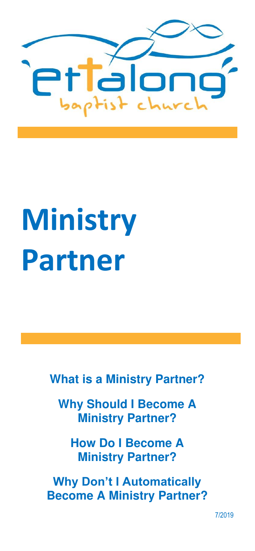

# **Ministry Partner**

**What is a Ministry Partner?** 

**Why Should I Become A Ministry Partner?** 

**How Do I Become A Ministry Partner?** 

**Why Don't I Automatically Become A Ministry Partner?** 

7/2019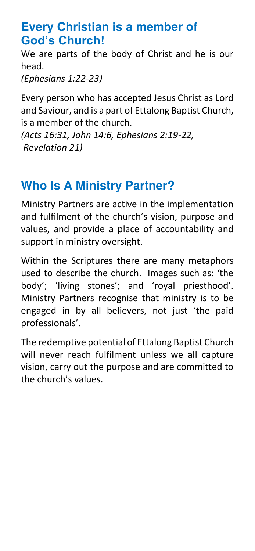## **Every Christian is a member of God's Church!**

We are parts of the body of Christ and he is our head.

*(Ephesians 1:22-23)*

Every person who has accepted Jesus Christ as Lord and Saviour, and is a part of Ettalong Baptist Church, is a member of the church.

*(Acts 16:31, John 14:6, Ephesians 2:19-22, Revelation 21)* 

## **Who Is A Ministry Partner?**

Ministry Partners are active in the implementation and fulfilment of the church's vision, purpose and values, and provide a place of accountability and support in ministry oversight.

Within the Scriptures there are many metaphors used to describe the church. Images such as: 'the body'; 'living stones'; and 'royal priesthood'. Ministry Partners recognise that ministry is to be engaged in by all believers, not iust 'the paid professionals'.

The redemptive potential of Ettalong Baptist Church will never reach fulfilment unless we all capture vision, carry out the purpose and are committed to the church's values.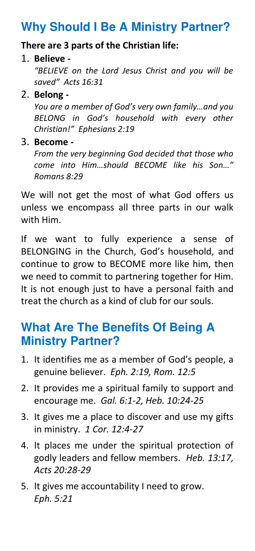## **Why Should I Be A Ministry Partner?**

#### **There are 3 parts of the Christian life:**

#### 1. **Believe -**

*"BELIEVE on the Lord Jesus Christ and you will be saved" Acts 16:31*

#### 2. **Belong -**

*You are a member of God's very own family…and you BELONG in God's household with every other Christian!" Ephesians 2:19*

#### 3. **Become -**

*From the very beginning God decided that those who come into Him…should BECOME like his Son…" Romans 8:29* 

We will not get the most of what God offers us unless we encompass all three parts in our walk with Him.

If we want to fully experience a sense of BELONGING in the Church, God's household, and continue to grow to BECOME more like him, then we need to commit to partnering together for Him. It is not enough just to have a personal faith and treat the church as a kind of club for our souls.

## **What Are The Benefits Of Being A Ministry Partner?**

- 1. It identifies me as a member of God's people, a genuine believer. *Eph. 2:19, Rom. 12:5*
- 2. It provides me a spiritual family to support and encourage me. *Gal. 6:1-2, Heb. 10:24-25*
- 3. It gives me a place to discover and use my gifts in ministry. *1 Cor. 12:4-27*
- 4. It places me under the spiritual protection of godly leaders and fellow members. *Heb. 13:17, Acts 20:28-29*
- 5. It gives me accountability I need to grow. *Eph. 5:21*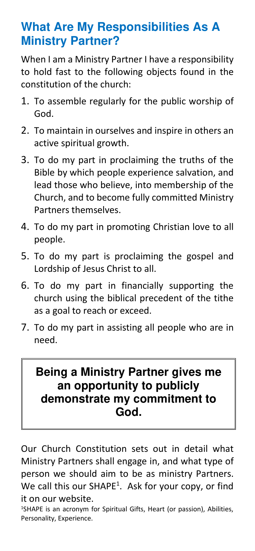## **What Are My Responsibilities As A Ministry Partner?**

When I am a Ministry Partner I have a responsibility to hold fast to the following objects found in the constitution of the church:

- 1. To assemble regularly for the public worship of God.
- 2. To maintain in ourselves and inspire in others an active spiritual growth.
- 3. To do my part in proclaiming the truths of the Bible by which people experience salvation, and lead those who believe, into membership of the Church, and to become fully committed Ministry Partners themselves.
- 4. To do my part in promoting Christian love to all people.
- 5. To do my part is proclaiming the gospel and Lordship of Jesus Christ to all.
- 6. To do my part in financially supporting the church using the biblical precedent of the tithe as a goal to reach or exceed.
- 7. To do my part in assisting all people who are in need.

## **Being a Ministry Partner gives me an opportunity to publicly demonstrate my commitment to God.**

Our Church Constitution sets out in detail what Ministry Partners shall engage in, and what type of person we should aim to be as ministry Partners. We call this our SHAPE<sup>1</sup>. Ask for your copy, or find it on our website.

<sup>1</sup>SHAPE is an acronym for Spiritual Gifts, Heart (or passion), Abilities, Personality, Experience.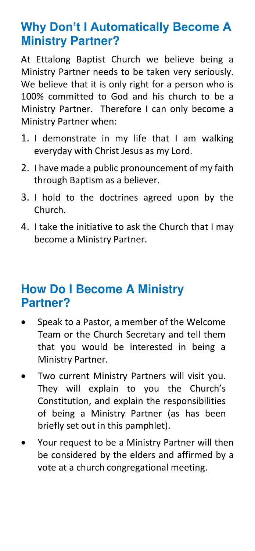## **Why Don't I Automatically Become A Ministry Partner?**

At Ettalong Baptist Church we believe being a Ministry Partner needs to be taken very seriously. We believe that it is only right for a person who is 100% committed to God and his church to be a Ministry Partner. Therefore I can only become a Ministry Partner when:

- 1. I demonstrate in my life that I am walking everyday with Christ Jesus as my Lord.
- 2. I have made a public pronouncement of my faith through Baptism as a believer.
- 3. I hold to the doctrines agreed upon by the Church.
- 4. I take the initiative to ask the Church that I may become a Ministry Partner.

## **How Do I Become A Ministry Partner?**

- Speak to a Pastor, a member of the Welcome Team or the Church Secretary and tell them that you would be interested in being a Ministry Partner.
- Two current Ministry Partners will visit you. They will explain to you the Church's Constitution, and explain the responsibilities of being a Ministry Partner (as has been briefly set out in this pamphlet).
- Your request to be a Ministry Partner will then be considered by the elders and affirmed by a vote at a church congregational meeting.